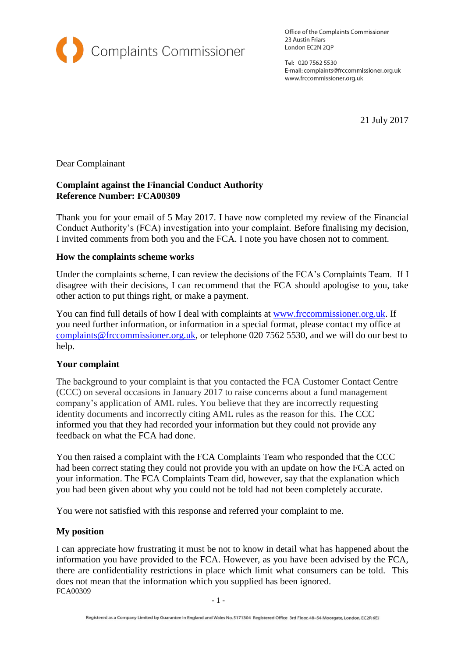

Office of the Complaints Commissioner 23 Austin Friars London EC2N 2QP

Tel: 020 7562 5530 E-mail: complaints@frccommissioner.org.uk www.frccommissioner.org.uk

21 July 2017

### Dear Complainant

## **Complaint against the Financial Conduct Authority Reference Number: FCA00309**

Thank you for your email of 5 May 2017. I have now completed my review of the Financial Conduct Authority's (FCA) investigation into your complaint. Before finalising my decision, I invited comments from both you and the FCA. I note you have chosen not to comment.

#### **How the complaints scheme works**

Under the complaints scheme, I can review the decisions of the FCA's Complaints Team. If I disagree with their decisions, I can recommend that the FCA should apologise to you, take other action to put things right, or make a payment.

You can find full details of how I deal with complaints at [www.frccommissioner.org.uk.](http://www.fscc.gov.uk/) If you need further information, or information in a special format, please contact my office at [complaints@frccommissioner.org.uk,](mailto:complaints@frccommissioner.org.uk) or telephone 020 7562 5530, and we will do our best to help.

#### **Your complaint**

The background to your complaint is that you contacted the FCA Customer Contact Centre (CCC) on several occasions in January 2017 to raise concerns about a fund management company's application of AML rules. You believe that they are incorrectly requesting identity documents and incorrectly citing AML rules as the reason for this. The CCC informed you that they had recorded your information but they could not provide any feedback on what the FCA had done.

You then raised a complaint with the FCA Complaints Team who responded that the CCC had been correct stating they could not provide you with an update on how the FCA acted on your information. The FCA Complaints Team did, however, say that the explanation which you had been given about why you could not be told had not been completely accurate.

You were not satisfied with this response and referred your complaint to me.

#### **My position**

FCA00309 I can appreciate how frustrating it must be not to know in detail what has happened about the information you have provided to the FCA. However, as you have been advised by the FCA, there are confidentiality restrictions in place which limit what consumers can be told. This does not mean that the information which you supplied has been ignored.